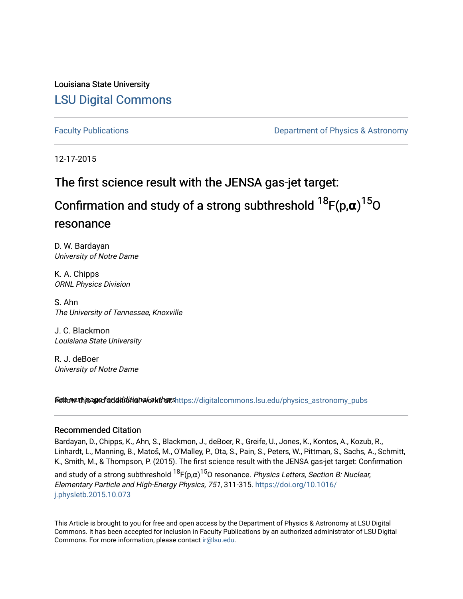Louisiana State University [LSU Digital Commons](https://digitalcommons.lsu.edu/)

[Faculty Publications](https://digitalcommons.lsu.edu/physics_astronomy_pubs) **Example 2** Constant Department of Physics & Astronomy

12-17-2015

# The first science result with the JENSA gas-jet target:

Confirmation and study of a strong subthreshold 18F(p,**α**) <sup>15</sup>O resonance

D. W. Bardayan University of Notre Dame

K. A. Chipps ORNL Physics Division

S. Ahn The University of Tennessee, Knoxville

J. C. Blackmon Louisiana State University

R. J. deBoer University of Notre Dame

Settow this aged additional authors https://digitalcommons.lsu.edu/physics\_astronomy\_pubs

### Recommended Citation

Bardayan, D., Chipps, K., Ahn, S., Blackmon, J., deBoer, R., Greife, U., Jones, K., Kontos, A., Kozub, R., Linhardt, L., Manning, B., Matoš, M., O'Malley, P., Ota, S., Pain, S., Peters, W., Pittman, S., Sachs, A., Schmitt, K., Smith, M., & Thompson, P. (2015). The first science result with the JENSA gas-jet target: Confirmation

and study of a strong subthreshold  $^{18}$ F(p, $\alpha)^{15}$ O resonance. *Physics Letters, Section B: Nuclear,* Elementary Particle and High-Energy Physics, 751, 311-315. [https://doi.org/10.1016/](https://doi.org/10.1016/j.physletb.2015.10.073) [j.physletb.2015.10.073](https://doi.org/10.1016/j.physletb.2015.10.073) 

This Article is brought to you for free and open access by the Department of Physics & Astronomy at LSU Digital Commons. It has been accepted for inclusion in Faculty Publications by an authorized administrator of LSU Digital Commons. For more information, please contact [ir@lsu.edu](mailto:ir@lsu.edu).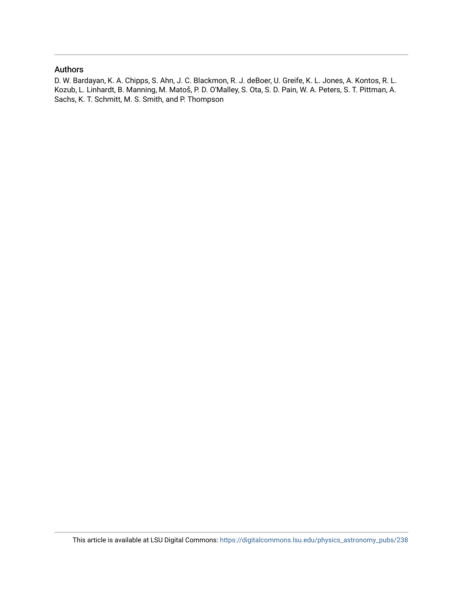### Authors

D. W. Bardayan, K. A. Chipps, S. Ahn, J. C. Blackmon, R. J. deBoer, U. Greife, K. L. Jones, A. Kontos, R. L. Kozub, L. Linhardt, B. Manning, M. Matoš, P. D. O'Malley, S. Ota, S. D. Pain, W. A. Peters, S. T. Pittman, A. Sachs, K. T. Schmitt, M. S. Smith, and P. Thompson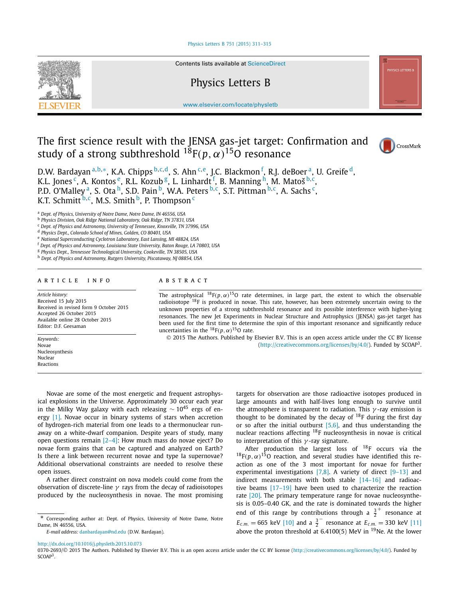#### [Physics Letters B 751 \(2015\) 311–315](http://dx.doi.org/10.1016/j.physletb.2015.10.073)



Contents lists available at [ScienceDirect](http://www.ScienceDirect.com/)

## Physics Letters B

[www.elsevier.com/locate/physletb](http://www.elsevier.com/locate/physletb)

# The first science result with the JENSA gas-jet target: Confirmation and study of a strong subthreshold  $^{18}F(p,\alpha)^{15}$ O resonance



D.W. Bardayan <sup>a,b,</sup>∗, K.A. Chipps <sup>b, c, d</sup>, S. Ahn <sup>c, e</sup>, J.C. Blackmon <sup>f</sup>, R.J. deBoer <sup>a</sup>, U. Greife <sup>d</sup>, K.L. Jones <sup>c</sup>, A. Kontos <sup>e</sup>, R.L. Kozub <sup>g</sup>, L. Linhardt <sup>f</sup>, B. Manning <sup>h</sup>, M. Matoš <sup>b, c</sup>, P.D. O'Malley <sup>a</sup>, S. Ota <sup>h</sup>, S.D. Pain <sup>b</sup>, W.A. Peters <sup>b, c</sup>, S.T. Pittman <sup>b, c</sup>, A. Sachs <sup>c</sup>, K.T. Schmitt<sup>b, c</sup>, M.S. Smith <sup>b</sup>, P. Thompson <sup>c</sup>

<sup>a</sup> *Dept. of Physics, University of Notre Dame, Notre Dame, IN 46556, USA*

<sup>c</sup> *Dept. of Physics and Astronomy, University of Tennessee, Knoxville, TN 37996, USA*

<sup>d</sup> *Physics Dept., Colorado School of Mines, Golden, CO 80401, USA*

<sup>e</sup> *National Superconducting Cyclotron Laboratory, East Lansing, MI 48824, USA*

<sup>f</sup> *Dept. of Physics and Astronomy, Louisiana State University, Baton Rouge, LA 70803, USA*

<sup>g</sup> *Physics Dept., Tennessee Technological University, Cookeville, TN 38505, USA*

<sup>h</sup> *Dept. of Physics and Astronomy, Rutgers University, Piscataway, NJ 08854, USA*

#### A R T I C L E I N F O A B S T R A C T

*Article history:* Received 15 July 2015 Received in revised form 9 October 2015 Accepted 26 October 2015 Available online 28 October 2015 Editor: D.F. Geesaman

*Keywords:* Novae Nucleosynthesis Nuclear Reactions

The astrophysical  $^{18}F(p,\alpha)^{15}O$  rate determines, in large part, the extent to which the observable radioisotope <sup>18</sup>F is produced in novae. This rate, however, has been extremely uncertain owing to the unknown properties of a strong subthreshold resonance and its possible interference with higher-lying resonances. The new Jet Experiments in Nuclear Structure and Astrophysics (JENSA) gas-jet target has been used for the first time to determine the spin of this important resonance and significantly reduce uncertainties in the  $^{18}F(p, \alpha)^{15}$ O rate.

© 2015 The Authors. Published by Elsevier B.V. This is an open access article under the CC BY license [\(http://creativecommons.org/licenses/by/4.0/\)](http://creativecommons.org/licenses/by/4.0/). Funded by SCOAP3.

Novae are some of the most energetic and frequent astrophysical explosions in the Universe. Approximately 30 occur each year in the Milky Way galaxy with each releasing  $\sim 10^{45}$  ergs of energy [\[1\].](#page-6-0) Novae occur in binary systems of stars when accretion of hydrogen-rich material from one leads to a thermonuclear runaway on a white-dwarf companion. Despite years of study, many open questions remain [\[2–4\]:](#page-6-0) How much mass do novae eject? Do novae form grains that can be captured and analyzed on Earth? Is there a link between recurrent novae and type Ia supernovae? Additional observational constraints are needed to resolve these open issues.

A rather direct constraint on nova models could come from the observation of discrete-line *γ* rays from the decay of radioisotopes produced by the nucleosynthesis in novae. The most promising

*E-mail address:* [danbardayan@nd.edu](mailto:danbardayan@nd.edu) (D.W. Bardayan).

targets for observation are those radioactive isotopes produced in large amounts and with half-lives long enough to survive until the atmosphere is transparent to radiation. This *γ* -ray emission is thought to be dominated by the decay of  $^{18}$ F during the first day or so after the initial outburst  $[5,6]$ , and thus understanding the nuclear reactions affecting 18F nucleosynthesis in novae is critical to interpretation of this *γ* -ray signature.

After production the largest loss of  $^{18}$ F occurs via the  $^{18}F(p,\alpha)^{15}$ O reaction, and several studies have identified this reaction as one of the 3 most important for novae for further experimental investigations [\[7,8\].](#page-6-0) A variety of direct [\[9–13\]](#page-6-0) and indirect measurements with both stable [\[14–16\]](#page-6-0) and radioactive beams [17-19] have been used to characterize the reaction rate [\[20\].](#page-6-0) The primary temperature range for novae nucleosynthesis is 0.05–0.40 GK, and the rate is dominated towards the higher end of this range by contributions through a  $\frac{3}{2}^+$  resonance at  $E_{c.m.} = 665$  keV [\[10\]](#page-6-0) and a  $\frac{3}{2}$  resonance at  $E_{c.m.} = 330$  keV [\[11\]](#page-6-0) above the proton threshold at  $6.4100(5)$  MeV in <sup>19</sup>Ne. At the lower

<http://dx.doi.org/10.1016/j.physletb.2015.10.073>

0370-2693/© 2015 The Authors. Published by Elsevier B.V. This is an open access article under the CC BY license [\(http://creativecommons.org/licenses/by/4.0/\)](http://creativecommons.org/licenses/by/4.0/). Funded by SCOAP<sup>3</sup>.

<sup>b</sup> *Physics Division, Oak Ridge National Laboratory, Oak Ridge, TN 37831, USA*

Corresponding author at: Dept. of Physics, University of Notre Dame, Notre Dame, IN 46556, USA.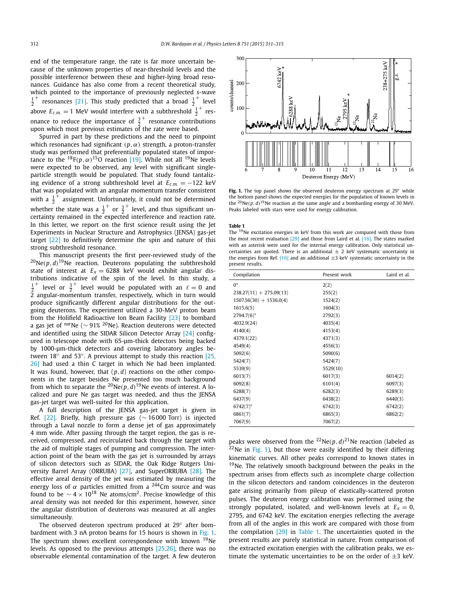<span id="page-3-0"></span>end of the temperature range, the rate is far more uncertain because of the unknown properties of near-threshold levels and the possible interference between these and higher-lying broad resonances. Guidance has also come from a recent theoretical study, which pointed to the importance of previously neglected s-wave  $\frac{1}{2}^+$  resonances [\[21\].](#page-6-0) This study predicted that a broad  $\frac{1}{2}^+$  level above  $E_{c.m.} = 1$  MeV would interfere with a subthreshold  $\frac{1}{2}^+$  resonance to reduce the importance of  $\frac{3}{2}^+$  resonance contributions upon which most previous estimates of the rate were based.

Spurred in part by these predictions and the need to pinpoint which resonances had significant *(p,α)* strength, a proton-transfer study was performed that preferentially populated states of importance to the  $^{18}F(p,\alpha)^{15}$ O reaction [\[19\].](#page-6-0) While not all <sup>19</sup>Ne levels were expected to be observed, any level with significant singleparticle strength would be populated. That study found tantalizing evidence of a strong subthreshold level at  $E_{c.m.} = -122$  keV that was populated with an angular momentum transfer consistent with a  $\frac{1}{2}^+$  assignment. Unfortunately, it could not be determined which a  $\frac{1}{2}$  assignment: onto canceled the state was a  $\frac{1}{2}^+$  or  $\frac{3}{2}^+$  level, and thus significant uncertainty remained in the expected interference and reaction rate. In this letter, we report on the first science result using the Jet Experiments in Nuclear Structure and Astrophysics (JENSA) gas-jet target [\[22\]](#page-6-0) to definitively determine the spin and nature of this strong subthreshold resonance.

This manuscript presents the first peer-reviewed study of the  $^{20}$ Ne $(p, d)$ <sup>19</sup>Ne reaction. Deuterons populating the subthreshold state of interest at  $E_x = 6288$  keV would exhibit angular distributions indicative of the spin of the level. In this study, a  $\frac{1}{2}^+$  level or  $\frac{3}{2}^+$  level would be populated with an  $\ell = 0$  and  $2$  angular-momentum transfer, respectively, which in turn would produce significantly different angular distributions for the outgoing deuterons. The experiment utilized a 30-MeV proton beam from the Holifield Radioactive Ion Beam Facility [\[23\]](#page-6-0) to bombard <sup>a</sup> gas jet of *nat*Ne (∼ 91% 20Ne). Reaction deuterons were detected and identified using the SIDAR Silicon Detector Array [\[24\]](#page-6-0) configured in telescope mode with 65-μm-thick detectors being backed by 1000-μm-thick detectors and covering laboratory angles between 18◦ and 53◦. A previous attempt to study this reaction [\[25,](#page-6-0) [26\]](#page-6-0) had used a thin C target in which Ne had been implanted. It was found, however, that  $(p, d)$  reactions on the other components in the target besides Ne presented too much background from which to separate the <sup>20</sup>Ne $(p, d)$ <sup>19</sup>Ne events of interest. A localized and pure Ne gas target was needed, and thus the JENSA gas-jet target was well-suited for this application.

A full description of the JENSA gas-jet target is given in Ref. [\[22\].](#page-6-0) Briefly, high pressure gas (∼ 16 000 Torr) is injected through a Laval nozzle to form a dense jet of gas approximately 4 mm wide. After passing through the target region, the gas is received, compressed, and recirculated back through the target with the aid of multiple stages of pumping and compression. The interaction point of the beam with the gas jet is surrounded by arrays of silicon detectors such as SIDAR, the Oak Ridge Rutgers University Barrel Array (ORRUBA) [\[27\],](#page-6-0) and SuperORRUBA [\[28\].](#page-6-0) The effective areal density of the jet was estimated by measuring the energy loss of  $\alpha$  particles emitted from a <sup>244</sup>Cm source and was found to be  $\sim$  4 × 10<sup>18</sup> Ne atoms/cm<sup>2</sup>. Precise knowledge of this areal density was not needed for this experiment, however, since the angular distribution of deuterons was measured at all angles simultaneously.

The observed deuteron spectrum produced at 29◦ after bombardment with 3 nA proton beams for 15 hours is shown in Fig. 1. The spectrum shows excellent correspondence with known <sup>19</sup>Ne levels. As opposed to the previous attempts [\[25,26\],](#page-6-0) there was no observable elemental contamination of the target. A few deuteron



**Fig. 1.** The top panel shows the observed deuteron energy spectrum at 29° while the bottom panel shows the expected energies for the population of known levels in the  $^{20}$ Ne $(p, d)$ <sup>19</sup>Ne reaction at the same angle and a bombarding energy of 30 MeV. Peaks labeled with stars were used for energy calibration.

#### **Table 1**

The <sup>19</sup>Ne excitation energies in keV from this work are compared with those from the most recent evaluation  $[29]$  and those from Laird et al.  $[16]$ . The states marked with an asterisk were used for the internal energy calibration. Only statistical uncertainties are quoted. There is an additional  $\pm$  2 keV systematic uncertainty in the energies from Ref. [\[16\]](#page-6-0) and an additional  $\pm 3$  keV systematic uncertainty in the present results.

| Compilation               | Present work | Laird et al. |
|---------------------------|--------------|--------------|
| $0^*$                     | 2(2)         |              |
| $238.27(11) + 275.09(13)$ | 255(2)       |              |
| $1507.56(30) + 1536.0(4)$ | 1524(2)      |              |
| 1615.6(5)                 | 1604(3)      |              |
| $2794.7(6)^*$             | 2792(3)      |              |
| 4032.9(24)                | 4035(4)      |              |
| 4140(4)                   | 4153(4)      |              |
| 4379.1(22)                | 4371(3)      |              |
| 4549(4)                   | 4556(3)      |              |
| 5092(6)                   | 5090(6)      |              |
| 5424(7)                   | 5424(7)      |              |
| 5539(9)                   | 5529(10)     |              |
| 6013(7)                   | 6017(3)      | 6014(2)      |
| 6092(8)                   | 6101(4)      | 6097(3)      |
| 6288(7)                   | 6282(3)      | 6289(3)      |
| 6437(9)                   | 6438(2)      | 6440(3)      |
| $6742(7)^*$               | 6742(3)      | 6742(2)      |
| 6861(7)                   | 6865(3)      | 6862(2)      |
| 7067(9)                   | 7067(2)      |              |

peaks were observed from the <sup>22</sup>Ne $(p, d)$ <sup>21</sup>Ne reaction (labeled as  $22$ Ne in Fig. 1), but those were easily identified by their differing kinematic curves. All other peaks correspond to known states in  $19$ Ne. The relatively smooth background between the peaks in the spectrum arises from effects such as incomplete charge collection in the silicon detectors and random coincidences in the deuteron gate arising primarily from pileup of elastically-scattered proton pulses. The deuteron energy calibration was performed using the strongly populated, isolated, and well-known levels at  $E_x = 0$ , 2795, and 6742 keV. The excitation energies reflecting the average from all of the angles in this work are compared with those from the compilation [\[29\]](#page-6-0) in Table 1. The uncertainties quoted in the present results are purely statistical in nature. From comparison of the extracted excitation energies with the calibration peaks, we estimate the systematic uncertainties to be on the order of  $\pm 3$  keV.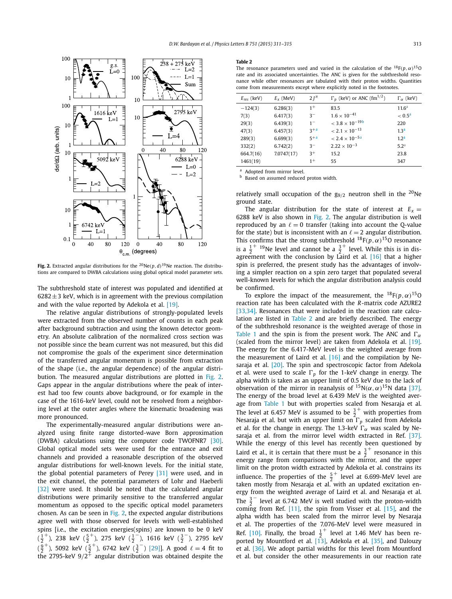<span id="page-4-0"></span>

**Fig. 2.** Extracted angular distributions for the <sup>20</sup>Ne(*p*, *d*)<sup>19</sup>Ne reaction. The distributions are compared to DWBA calculations using global optical model parameter sets.

The subthreshold state of interest was populated and identified at  $6282 \pm 3$  keV, which is in agreement with the previous compilation and with the value reported by Adekola et al. [\[19\].](#page-6-0)

The relative angular distributions of strongly-populated levels were extracted from the observed number of counts in each peak after background subtraction and using the known detector geometry. An absolute calibration of the normalized cross section was not possible since the beam current was not measured, but this did not compromise the goals of the experiment since determination of the transferred angular momentum is possible from extraction of the shape (i.e., the angular dependence) of the angular distribution. The measured angular distributions are plotted in Fig. 2. Gaps appear in the angular distributions where the peak of interest had too few counts above background, or for example in the case of the 1616-keV level, could not be resolved from a neighboring level at the outer angles where the kinematic broadening was more pronounced.

The experimentally-measured angular distributions were analyzed using finite range distorted-wave Born approximation (DWBA) calculations using the computer code TWOFNR7 [\[30\].](#page-6-0) Global optical model sets were used for the entrance and exit channels and provided a reasonable description of the observed angular distributions for well-known levels. For the initial state, the global potential parameters of Perey [\[31\]](#page-6-0) were used, and in the exit channel, the potential parameters of Lohr and Haeberli [\[32\]](#page-6-0) were used. It should be noted that the calculated angular distributions were primarily sensitive to the transferred angular momentum as opposed to the specific optical model parameters chosen. As can be seen in Fig. 2, the expected angular distributions agree well with those observed for levels with well-established spins [i.e., the excitation energies(spins) are known to be 0 keV  $(\frac{1}{2}^+)$ , 238 keV  $(\frac{5}{2}^+)$ , 275 keV  $(\frac{1}{2}^-)$ , 1616 keV  $(\frac{3}{2}^-)$ , 2795 keV  $(\frac{9}{2}^+)$ , 5092 keV  $(\frac{5}{2}^+)$ , 6742 keV  $(\frac{3}{2}^-)$  [\[29\]\]](#page-6-0). A good  $\ell = 4$  fit to the 2795-keV 9*/*2+ angular distribution was obtained despite the

#### **Table 2**

The resonance parameters used and varied in the calculation of the  $^{18}F(p,\alpha)^{15}O$ rate and its associated uncertainties. The ANC is given for the subthreshold resonance while other resonances are tabulated with their proton widths. Quantities come from measurements except where explicitly noted in the footnotes.

| $E_{res}$ (keV) | $E_x$ (MeV) | $2I^{\pi}$ | $\Gamma_p$ (keV) or ANC (fm <sup>1/2</sup> ) | $\Gamma_{\alpha}$ (keV) |
|-----------------|-------------|------------|----------------------------------------------|-------------------------|
| $-124(3)$       | 6.286(3)    | $1^+$      | 83.5                                         | 11.6 <sup>a</sup>       |
| 7(3)            | 6.417(3)    | $3^{-}$    | $1.6 \times 10^{-41}$                        | $< 0.5^{\rm a}$         |
| 29(3)           | 6.439(3)    | $1 -$      | $<$ 3.8 $\times$ 10 <sup>-19b</sup>          | 220                     |
| 47(3)           | 6.457(3)    | $3+a$      | $< 2.1 \times 10^{-13}$                      | 1.3 <sup>a</sup>        |
| 289(3)          | 6.699(3)    | $5+a$      | $< 2.4 \times 10^{-5a}$                      | 1.2 <sup>a</sup>        |
| 332(2)          | 6.742(2)    | $3^{-}$    | $2.22 \times 10^{-3}$                        | 5.2 <sup>a</sup>        |
| 664.7(16)       | 7.0747(17)  | $3+$       | 15.2                                         | 23.8                    |
| 1461(19)        |             | $1^+$      | 55                                           | 347                     |

<sup>a</sup> Adopted from mirror level.

**b** Based on assumed reduced proton width.

relatively small occupation of the  $g_{9/2}$  neutron shell in the <sup>20</sup>Ne ground state.

The angular distribution for the state of interest at  $E_x =$ 6288 keV is also shown in Fig. 2. The angular distribution is well reproduced by an  $\ell = 0$  transfer (taking into account the Q-value for the state) but is inconsistent with an  $\ell = 2$  angular distribution. This confirms that the strong subthreshold  $^{18}F(p, \alpha)^{15}$ O resonance is a  $\frac{1}{2}^{+}$  <sup>19</sup>Ne level and cannot be a  $\frac{3}{2}^{+}$  level. While this is in disagreement with the conclusion by Laird et al.  $[16]$  that a higher spin is preferred, the present study has the advantages of involving a simpler reaction on a spin zero target that populated several well-known levels for which the angular distribution analysis could be confirmed.

To explore the impact of the measurement, the  $^{18}F(p,\alpha)^{15}O$ reaction rate has been calculated with the *R*-matrix code AZURE2 [\[33,34\].](#page-6-0) Resonances that were included in the reaction rate calculation are listed in Table 2 and are briefly described. The energy of the subthreshold resonance is the weighted average of those in [Table 1](#page-3-0) and the spin is from the present work. The ANC and  $\Gamma_{\alpha}$ (scaled from the mirror level) are taken from Adekola et al. [\[19\].](#page-6-0) The energy for the 6.417-MeV level is the weighted average from the measurement of Laird et al. [\[16\]](#page-6-0) and the compilation by Nesaraja et al. [\[20\].](#page-6-0) The spin and spectroscopic factor from Adekola et al. were used to scale  $\Gamma_p$  for the 1-keV change in energy. The alpha width is taken as an upper limit of 0.5 keV due to the lack of observation of the mirror in reanalysis of  ${}^{15}N(\alpha, \alpha)$ <sup>15</sup>N data [\[37\].](#page-6-0) The energy of the broad level at 6.439 MeV is the weighted average from [Table 1](#page-3-0) but with properties scaled from Nesaraja et al. The level at 6.457 MeV is assumed to be  $\frac{3}{2}^+$  with properties from Nesaraja et al. but with an upper limit on *<sup>p</sup>* scaled from Adekola et al. for the change in energy. The 1.3-keV  $\Gamma_{\alpha}$  was scaled by Nesaraja et al. from the mirror level width extracted in Ref. [\[37\].](#page-6-0) While the energy of this level has recently been questioned by Laird et al., it is certain that there must be a  $\frac{3}{2}^+$  resonance in this energy range from comparisons with the mirror, and the upper limit on the proton width extracted by Adekola et al. constrains its influence. The properties of the  $\frac{5}{2}^+$  level at 6.699-MeV level are taken mostly from Nesaraja et al. with an updated excitation energy from the weighted average of Laird et al. and Nesaraja et al. The  $\frac{3}{2}^{-}$  level at 6.742 MeV is well studied with the proton-width coming from Ref. [\[11\],](#page-6-0) the spin from Visser et al. [\[15\],](#page-6-0) and the alpha width has been scaled from the mirror level by Nesaraja et al. The properties of the 7.076-MeV level were measured in Ref. [\[10\].](#page-6-0) Finally, the broad  $\frac{1}{2}^+$  level at 1.46 MeV has been reported by Mountford et al. [\[13\],](#page-6-0) Adekola et al. [\[35\],](#page-6-0) and Dalouzy et al. [\[36\].](#page-6-0) We adopt partial widths for this level from Mountford et al. but consider the other measurements in our reaction rate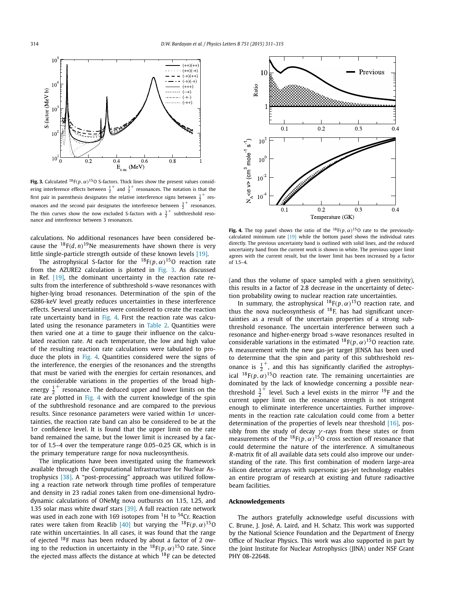

**Fig. 3.** Calculated <sup>18</sup> $F(p, \alpha)$ <sup>15</sup>O S-factors. Thick lines show the present values considering interference effects between  $\frac{1}{2}^+$  and  $\frac{3}{2}^+$  resonances. The notation is that the first pair in parenthesis designates the relative interference signs between  $\frac{1}{2}^+$  resonances and the second pair designates the interference between  $\frac{3}{2}^+$  resonances. The thin curves show the now excluded S-factors with a  $\frac{3}{2}^+$  subthreshold resonance and interference between 3 resonances.

calculations. No additional resonances have been considered because the  $^{18}F(d, n)^{19}$ Ne measurements have shown there is very little single-particle strength outside of these known levels [\[19\].](#page-6-0)

The astrophysical S-factor for the  ${}^{18}F(p,\alpha){}^{15}O$  reaction rate from the AZURE2 calculation is plotted in Fig. 3. As discussed in Ref. [\[19\],](#page-6-0) the dominant uncertainty in the reaction rate results from the interference of subthreshold s-wave resonances with higher-lying broad resonances. Determination of the spin of the 6286-keV level greatly reduces uncertainties in these interference effects. Several uncertainties were considered to create the reaction rate uncertainty band in Fig. 4. First the reaction rate was calculated using the resonance parameters in [Table 2.](#page-4-0) Quantities were then varied one at a time to gauge their influence on the calculated reaction rate. At each temperature, the low and high value of the resulting reaction rate calculations were tabulated to produce the plots in Fig. 4. Quantities considered were the signs of the interference, the energies of the resonances and the strengths that must be varied with the energies for certain resonances, and the considerable variations in the properties of the broad highenergy  $\frac{1}{2}^+$  resonance. The deduced upper and lower limits on the rate are plotted in Fig. 4 with the current knowledge of the spin of the subthreshold resonance and are compared to the previous results. Since resonance parameters were varied within 1*σ* uncertainties, the reaction rate band can also be considered to be at the 1*σ* confidence level. It is found that the upper limit on the rate band remained the same, but the lower limit is increased by a factor of 1.5–4 over the temperature range 0.05–0.25 GK, which is in the primary temperature range for nova nucleosynthesis.

The implications have been investigated using the framework available through the Computational Infrastructure for Nuclear Astrophysics [\[38\].](#page-6-0) A "post-processing" approach was utilized following a reaction rate network through time profiles of temperature and density in 23 radial zones taken from one-dimensional hydrodynamic calculations of ONeMg nova outbursts on 1.15, 1.25, and 1.35 solar mass white dwarf stars [\[39\].](#page-6-0) A full reaction rate network was used in each zone with 169 isotopes from  ${}^{1}$ H to  ${}^{54}$ Cr. Reaction rates were taken from Reaclib [\[40\]](#page-6-0) but varying the  $^{18}F(p,\alpha)^{15}O$ rate within uncertainties. In all cases, it was found that the range of ejected 18F mass has been reduced by about a factor of 2 owing to the reduction in uncertainty in the  ${}^{18}F(p,\alpha){}^{15}O$  rate. Since the ejected mass affects the distance at which  $^{18}$ F can be detected



**Fig. 4.** The top panel shows the ratio of the  $^{18}F(p, \alpha)^{15}O$  rate to the previouslycalculated minimum rate [\[19\]](#page-6-0) while the bottom panel shows the individual rates directly. The previous uncertainty band is outlined with solid lines, and the reduced uncertainty band from the current work is shown in white. The previous upper limit agrees with the current result, but the lower limit has been increased by a factor of 1.5–4.

(and thus the volume of space sampled with a given sensitivity), this results in a factor of 2.8 decrease in the uncertainty of detection probability owing to nuclear reaction rate uncertainties.

In summary, the astrophysical 18F*(p,α)*15O reaction rate, and thus the nova nucleosynthesis of  $^{18}F$ , has had significant uncertainties as a result of the uncertain properties of a strong subthreshold resonance. The uncertain interference between such a resonance and higher-energy broad s-wave resonances resulted in considerable variations in the estimated  $^{18}F(p, \alpha)^{15}$ O reaction rate. A measurement with the new gas-jet target JENSA has been used to determine that the spin and parity of this subthreshold resonance is  $\frac{1}{2}^+$ , and this has significantly clarified the astrophysical  ${}^{18}F(p,\ \alpha)$ <sup>15</sup>O reaction rate. The remaining uncertainties are dominated by the lack of knowledge concerning a possible nearthreshold  $\frac{3}{2}^+$  level. Such a level exists in the mirror <sup>19</sup>F and the current upper limit on the resonance strength is not stringent enough to eliminate interference uncertainties. Further improvements in the reaction rate calculation could come from a better determination of the properties of levels near threshold [\[16\],](#page-6-0) possibly from the study of decay *γ* -rays from these states or from measurements of the  $^{18}F(p,\alpha)^{15}O$  cross section off resonance that could determine the nature of the interference. A simultaneous *R*-matrix fit of all available data sets could also improve our understanding of the rate. This first combination of modern large-area silicon detector arrays with supersonic gas-jet technology enables an entire program of research at existing and future radioactive beam facilities.

### **Acknowledgements**

The authors gratefully acknowledge useful discussions with C. Brune, J. José, A. Laird, and H. Schatz. This work was supported by the National Science Foundation and the Department of Energy Office of Nuclear Physics. This work was also supported in part by the Joint Institute for Nuclear Astrophysics (JINA) under NSF Grant PHY 08-22648.